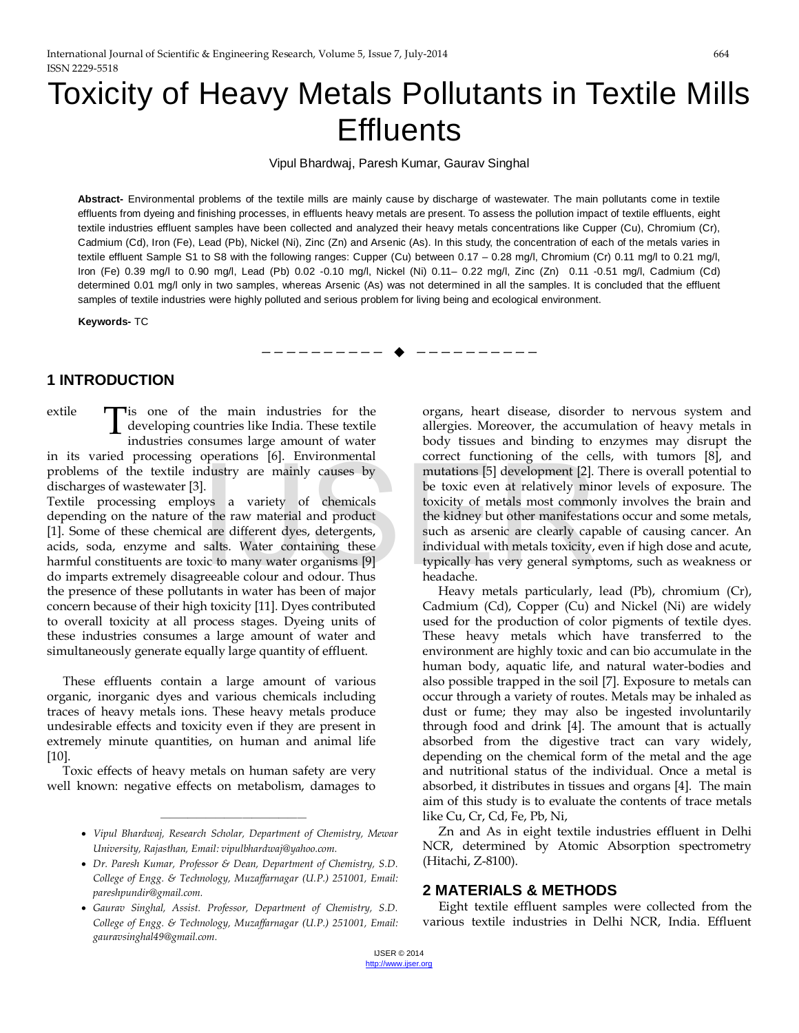# Toxicity of Heavy Metals Pollutants in Textile Mills **Effluents**

Vipul Bhardwaj, Paresh Kumar, Gaurav Singhal

**Abstract-** Environmental problems of the textile mills are mainly cause by discharge of wastewater. The main pollutants come in textile effluents from dyeing and finishing processes, in effluents heavy metals are present. To assess the pollution impact of textile effluents, eight textile industries effluent samples have been collected and analyzed their heavy metals concentrations like Cupper (Cu), Chromium (Cr), Cadmium (Cd), Iron (Fe), Lead (Pb), Nickel (Ni), Zinc (Zn) and Arsenic (As). In this study, the concentration of each of the metals varies in textile effluent Sample S1 to S8 with the following ranges: Cupper (Cu) between 0.17 – 0.28 mg/l, Chromium (Cr) 0.11 mg/l to 0.21 mg/l, Iron (Fe) 0.39 mg/l to 0.90 mg/l, Lead (Pb) 0.02 -0.10 mg/l, Nickel (Ni) 0.11– 0.22 mg/l, Zinc (Zn) 0.11 -0.51 mg/l, Cadmium (Cd) determined 0.01 mg/l only in two samples, whereas Arsenic (As) was not determined in all the samples. It is concluded that the effluent samples of textile industries were highly polluted and serious problem for living being and ecological environment.

—————————— ——————————

**Keywords-** TC

# **1 INTRODUCTION**

extile  $\Box$  is one of the main industries for the **T** is one of the main industries for the developing countries like India. These textile industries consumes large amount of water industries consumes large amount of water in its varied processing operations [6]. Environmental problems of the textile industry are mainly causes by discharges of wastewater [3].

Textile processing employs a variety of chemicals depending on the nature of the raw material and product [1]. Some of these chemical are different dyes, detergents, acids, soda, enzyme and salts. Water containing these harmful constituents are toxic to many water organisms [9] do imparts extremely disagreeable colour and odour. Thus the presence of these pollutants in water has been of major concern because of their high toxicity [11]. Dyes contributed to overall toxicity at all process stages. Dyeing units of these industries consumes a large amount of water and simultaneously generate equally large quantity of effluent.

These effluents contain a large amount of various organic, inorganic dyes and various chemicals including traces of heavy metals ions. These heavy metals produce undesirable effects and toxicity even if they are present in extremely minute quantities, on human and animal life [10].

Toxic effects of heavy metals on human safety are very well known: negative effects on metabolism, damages to

• *Vipul Bhardwaj, Research Scholar, Department of Chemistry, Mewar University, Rajasthan, Email: vipulbhardwaj@yahoo.com.*

————————————————

- *Dr. Paresh Kumar, Professor & Dean, Department of Chemistry, S.D. College of Engg. & Technology, Muzaffarnagar (U.P.) 251001, Email: [pareshpundir@gmail.com.](mailto:pareshpundir@gmail.com)*
- *Gaurav Singhal, Assist. Professor, Department of Chemistry, S.D. College of Engg. & Technology, Muzaffarnagar (U.P.) 251001, Email: gauravsinghal49@gmail.com.*

organs, heart disease, disorder to nervous system and allergies. Moreover, the accumulation of heavy metals in body tissues and binding to enzymes may disrupt the correct functioning of the cells, with tumors [8], and mutations [5] development [2]. There is overall potential to be toxic even at relatively minor levels of exposure. The toxicity of metals most commonly involves the brain and the kidney but other manifestations occur and some metals, such as arsenic are clearly capable of causing cancer. An individual with metals toxicity, even if high dose and acute, typically has very general symptoms, such as weakness or headache. For the dustry are mainly causes by<br>
I.<br>
I be toxic even at relatively min<br>
the raw material and product<br>
I are different dyes, detergents,<br>
such as arsenic are clearly cap<br>
salts. Water containing these<br>
side individual w

Heavy metals particularly, lead (Pb), chromium (Cr), Cadmium (Cd), Copper (Cu) and Nickel (Ni) are widely used for the production of color pigments of textile dyes. These heavy metals which have transferred to the environment are highly toxic and can bio accumulate in the human body, aquatic life, and natural water-bodies and also possible trapped in the soil [7]. Exposure to metals can occur through a variety of routes. Metals may be inhaled as dust or fume; they may also be ingested involuntarily through food and drink [4]. The amount that is actually absorbed from the digestive tract can vary widely, depending on the chemical form of the metal and the age and nutritional status of the individual. Once a metal is absorbed, it distributes in tissues and organs [4]. The main aim of this study is to evaluate the contents of trace metals like Cu, Cr, Cd, Fe, Pb, Ni,

Zn and As in eight textile industries effluent in Delhi NCR, determined by Atomic Absorption spectrometry (Hitachi, Z-8100).

# **2 MATERIALS & METHODS**

Eight textile effluent samples were collected from the various textile industries in Delhi NCR, India. Effluent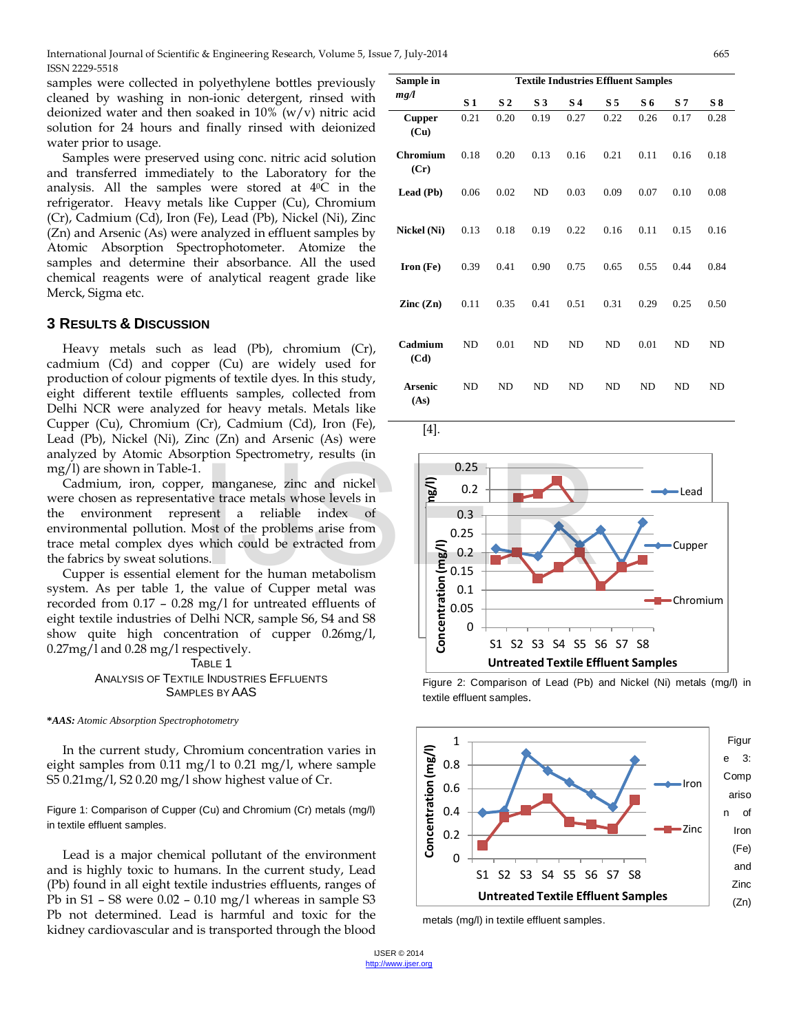International Journal of Scientific & Engineering Research, Volume 5, Issue 7, July-2014 665 ISSN 2229-5518

samples were collected in polyethylene bottles previously cleaned by washing in non-ionic detergent, rinsed with deionized water and then soaked in  $10\%$  (w/v) nitric acid solution for 24 hours and finally rinsed with deionized water prior to usage.

Samples were preserved using conc. nitric acid solution and transferred immediately to the Laboratory for the analysis. All the samples were stored at 40C in the refrigerator. Heavy metals like Cupper (Cu), Chromium (Cr), Cadmium (Cd), Iron (Fe), Lead (Pb), Nickel (Ni), Zinc (Zn) and Arsenic (As) were analyzed in effluent samples by Atomic Absorption Spectrophotometer. Atomize the samples and determine their absorbance. All the used chemical reagents were of analytical reagent grade like Merck, Sigma etc.

#### **3 RESULTS & DISCUSSION**

Heavy metals such as lead (Pb), chromium (Cr), cadmium (Cd) and copper (Cu) are widely used for production of colour pigments of textile dyes. In this study, eight different textile effluents samples, collected from Delhi NCR were analyzed for heavy metals. Metals like Cupper (Cu), Chromium (Cr), Cadmium (Cd), Iron (Fe), Lead (Pb), Nickel (Ni), Zinc (Zn) and Arsenic (As) were analyzed by Atomic Absorption Spectrometry, results (in mg/l) are shown in Table-1.

Cadmium, iron, copper, manganese, zinc and nickel were chosen as representative trace metals whose levels in the environment represent a reliable index of environmental pollution. Most of the problems arise from trace metal complex dyes which could be extracted from the fabrics by sweat solutions.

Cupper is essential element for the human metabolism system. As per table 1, the value of Cupper metal was recorded from 0.17 – 0.28 mg/l for untreated effluents of eight textile industries of Delhi NCR, sample S6, S4 and S8 show quite high concentration of cupper 0.26mg/l, 0.27mg/l and 0.28 mg/l respectively.

> TABLE 1 ANALYSIS OF TEXTILE INDUSTRIES EFFLUENTS SAMPLES BY AAS

**\****AAS: Atomic Absorption Spectrophotometry*

In the current study, Chromium concentration varies in eight samples from 0.11 mg/l to 0.21 mg/l, where sample S5 0.21mg/l, S2 0.20 mg/l show highest value of Cr.

Figure 1: Comparison of Cupper (Cu) and Chromium (Cr) metals (mg/l) in textile effluent samples.

Lead is a major chemical pollutant of the environment and is highly toxic to humans. In the current study, Lead (Pb) found in all eight textile industries effluents, ranges of Pb in S1 – S8 were 0.02 – 0.10 mg/l whereas in sample S3 Pb not determined. Lead is harmful and toxic for the kidney cardiovascular and is transported through the blood

| Sample in                | <b>Textile Industries Effluent Samples</b> |                |                |                |                |           |                |           |
|--------------------------|--------------------------------------------|----------------|----------------|----------------|----------------|-----------|----------------|-----------|
| mg/l                     | S <sub>1</sub>                             | S <sub>2</sub> | S <sub>3</sub> | S <sub>4</sub> | S <sub>5</sub> | S 6       | S <sub>7</sub> | S8        |
| <b>Cupper</b><br>(Cu)    | 0.21                                       | 0.20           | 0.19           | 0.27           | 0.22           | 0.26      | 0.17           | 0.28      |
| <b>Chromium</b><br>(Cr)  | 0.18                                       | 0.20           | 0.13           | 0.16           | 0.21           | 0.11      | 0.16           | 0.18      |
| Lead (Pb)                | 0.06                                       | 0.02           | ND             | 0.03           | 0.09           | 0.07      | 0.10           | 0.08      |
| Nickel (Ni)              | 0.13                                       | 0.18           | 0.19           | 0.22           | 0.16           | 0.11      | 0.15           | 0.16      |
| Iron (Fe)                | 0.39                                       | 0.41           | 0.90           | 0.75           | 0.65           | 0.55      | 0.44           | 0.84      |
| $\text{Zinc}(\text{Zn})$ | 0.11                                       | 0.35           | 0.41           | 0.51           | 0.31           | 0.29      | 0.25           | 0.50      |
| Cadmium<br>(Cd)          | <b>ND</b>                                  | 0.01           | <b>ND</b>      | <b>ND</b>      | <b>ND</b>      | 0.01      | <b>ND</b>      | <b>ND</b> |
| <b>Arsenic</b><br>(As)   | N <sub>D</sub>                             | <b>ND</b>      | ND             | <b>ND</b>      | N <sub>D</sub> | <b>ND</b> | <b>ND</b>      | ND        |

[4].







metals (mg/l) in textile effluent samples.